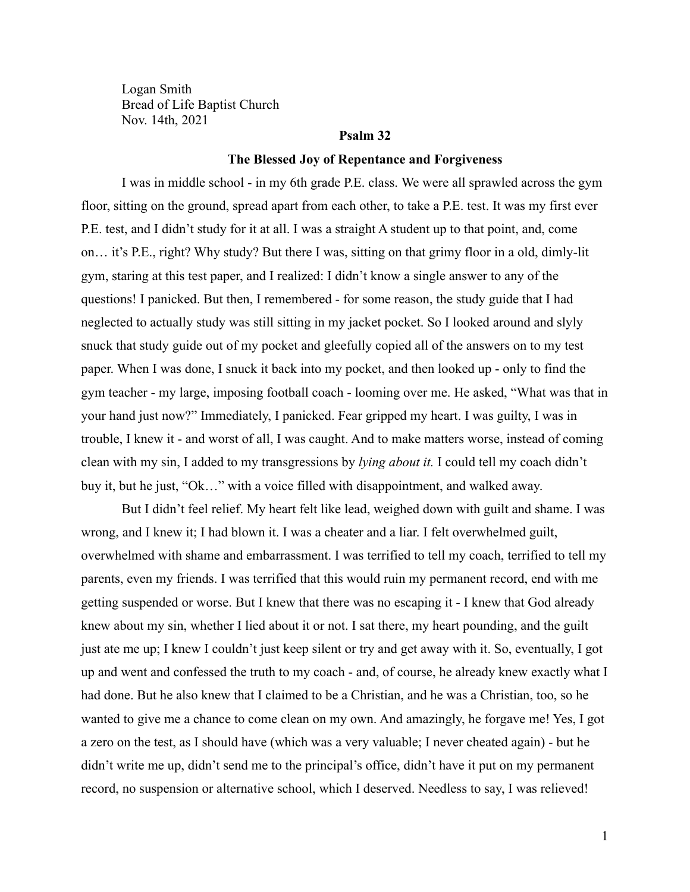Logan Smith Bread of Life Baptist Church Nov. 14th, 2021

# **Psalm 32**

## **The Blessed Joy of Repentance and Forgiveness**

I was in middle school - in my 6th grade P.E. class. We were all sprawled across the gym floor, sitting on the ground, spread apart from each other, to take a P.E. test. It was my first ever P.E. test, and I didn't study for it at all. I was a straight A student up to that point, and, come on… it's P.E., right? Why study? But there I was, sitting on that grimy floor in a old, dimly-lit gym, staring at this test paper, and I realized: I didn't know a single answer to any of the questions! I panicked. But then, I remembered - for some reason, the study guide that I had neglected to actually study was still sitting in my jacket pocket. So I looked around and slyly snuck that study guide out of my pocket and gleefully copied all of the answers on to my test paper. When I was done, I snuck it back into my pocket, and then looked up - only to find the gym teacher - my large, imposing football coach - looming over me. He asked, "What was that in your hand just now?" Immediately, I panicked. Fear gripped my heart. I was guilty, I was in trouble, I knew it - and worst of all, I was caught. And to make matters worse, instead of coming clean with my sin, I added to my transgressions by *lying about it.* I could tell my coach didn't buy it, but he just, "Ok…" with a voice filled with disappointment, and walked away.

But I didn't feel relief. My heart felt like lead, weighed down with guilt and shame. I was wrong, and I knew it; I had blown it. I was a cheater and a liar. I felt overwhelmed guilt, overwhelmed with shame and embarrassment. I was terrified to tell my coach, terrified to tell my parents, even my friends. I was terrified that this would ruin my permanent record, end with me getting suspended or worse. But I knew that there was no escaping it - I knew that God already knew about my sin, whether I lied about it or not. I sat there, my heart pounding, and the guilt just ate me up; I knew I couldn't just keep silent or try and get away with it. So, eventually, I got up and went and confessed the truth to my coach - and, of course, he already knew exactly what I had done. But he also knew that I claimed to be a Christian, and he was a Christian, too, so he wanted to give me a chance to come clean on my own. And amazingly, he forgave me! Yes, I got a zero on the test, as I should have (which was a very valuable; I never cheated again) - but he didn't write me up, didn't send me to the principal's office, didn't have it put on my permanent record, no suspension or alternative school, which I deserved. Needless to say, I was relieved!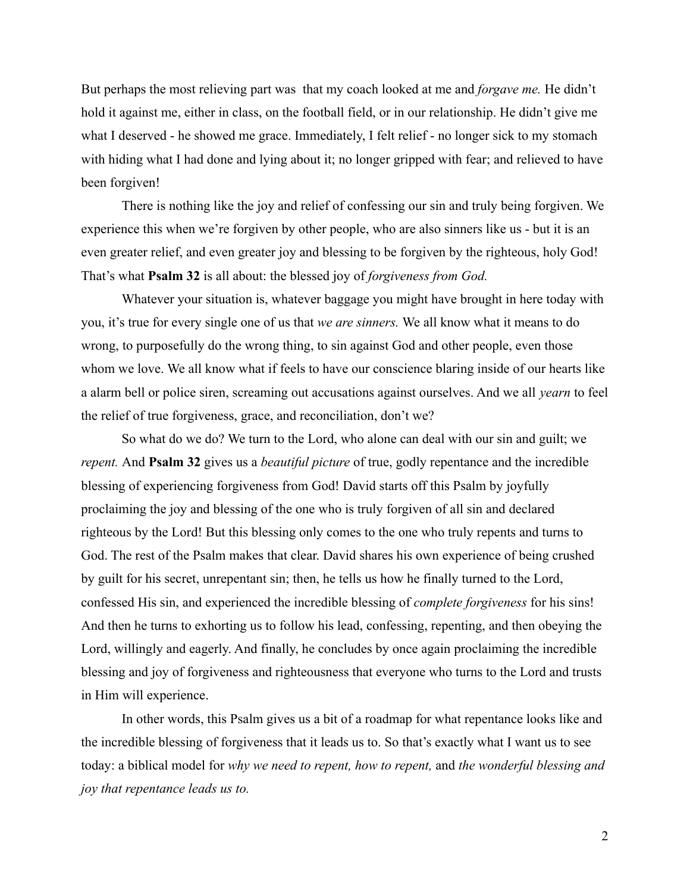But perhaps the most relieving part was that my coach looked at me and *forgave me.* He didn't hold it against me, either in class, on the football field, or in our relationship. He didn't give me what I deserved - he showed me grace. Immediately, I felt relief - no longer sick to my stomach with hiding what I had done and lying about it; no longer gripped with fear; and relieved to have been forgiven!

There is nothing like the joy and relief of confessing our sin and truly being forgiven. We experience this when we're forgiven by other people, who are also sinners like us - but it is an even greater relief, and even greater joy and blessing to be forgiven by the righteous, holy God! That's what **Psalm 32** is all about: the blessed joy of *forgiveness from God.*

Whatever your situation is, whatever baggage you might have brought in here today with you, it's true for every single one of us that *we are sinners.* We all know what it means to do wrong, to purposefully do the wrong thing, to sin against God and other people, even those whom we love. We all know what if feels to have our conscience blaring inside of our hearts like a alarm bell or police siren, screaming out accusations against ourselves. And we all *yearn* to feel the relief of true forgiveness, grace, and reconciliation, don't we?

So what do we do? We turn to the Lord, who alone can deal with our sin and guilt; we *repent.* And **Psalm 32** gives us a *beautiful picture* of true, godly repentance and the incredible blessing of experiencing forgiveness from God! David starts off this Psalm by joyfully proclaiming the joy and blessing of the one who is truly forgiven of all sin and declared righteous by the Lord! But this blessing only comes to the one who truly repents and turns to God. The rest of the Psalm makes that clear. David shares his own experience of being crushed by guilt for his secret, unrepentant sin; then, he tells us how he finally turned to the Lord, confessed His sin, and experienced the incredible blessing of *complete forgiveness* for his sins! And then he turns to exhorting us to follow his lead, confessing, repenting, and then obeying the Lord, willingly and eagerly. And finally, he concludes by once again proclaiming the incredible blessing and joy of forgiveness and righteousness that everyone who turns to the Lord and trusts in Him will experience.

In other words, this Psalm gives us a bit of a roadmap for what repentance looks like and the incredible blessing of forgiveness that it leads us to. So that's exactly what I want us to see today: a biblical model for *why we need to repent, how to repent,* and *the wonderful blessing and joy that repentance leads us to.*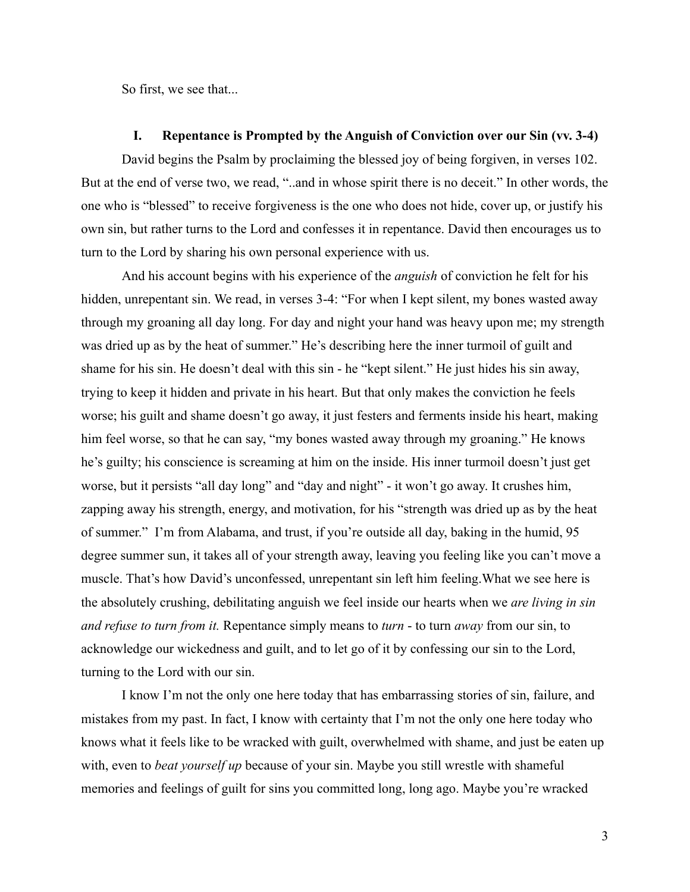So first, we see that...

### **I. Repentance is Prompted by the Anguish of Conviction over our Sin (vv. 3-4)**

David begins the Psalm by proclaiming the blessed joy of being forgiven, in verses 102. But at the end of verse two, we read, "..and in whose spirit there is no deceit." In other words, the one who is "blessed" to receive forgiveness is the one who does not hide, cover up, or justify his own sin, but rather turns to the Lord and confesses it in repentance. David then encourages us to turn to the Lord by sharing his own personal experience with us.

And his account begins with his experience of the *anguish* of conviction he felt for his hidden, unrepentant sin. We read, in verses 3-4: "For when I kept silent, my bones wasted away through my groaning all day long. For day and night your hand was heavy upon me; my strength was dried up as by the heat of summer." He's describing here the inner turmoil of guilt and shame for his sin. He doesn't deal with this sin - he "kept silent." He just hides his sin away, trying to keep it hidden and private in his heart. But that only makes the conviction he feels worse; his guilt and shame doesn't go away, it just festers and ferments inside his heart, making him feel worse, so that he can say, "my bones wasted away through my groaning." He knows he's guilty; his conscience is screaming at him on the inside. His inner turmoil doesn't just get worse, but it persists "all day long" and "day and night" - it won't go away. It crushes him, zapping away his strength, energy, and motivation, for his "strength was dried up as by the heat of summer." I'm from Alabama, and trust, if you're outside all day, baking in the humid, 95 degree summer sun, it takes all of your strength away, leaving you feeling like you can't move a muscle. That's how David's unconfessed, unrepentant sin left him feeling.What we see here is the absolutely crushing, debilitating anguish we feel inside our hearts when we *are living in sin and refuse to turn from it.* Repentance simply means to *turn* - to turn *away* from our sin, to acknowledge our wickedness and guilt, and to let go of it by confessing our sin to the Lord, turning to the Lord with our sin.

I know I'm not the only one here today that has embarrassing stories of sin, failure, and mistakes from my past. In fact, I know with certainty that I'm not the only one here today who knows what it feels like to be wracked with guilt, overwhelmed with shame, and just be eaten up with, even to *beat yourself up* because of your sin. Maybe you still wrestle with shameful memories and feelings of guilt for sins you committed long, long ago. Maybe you're wracked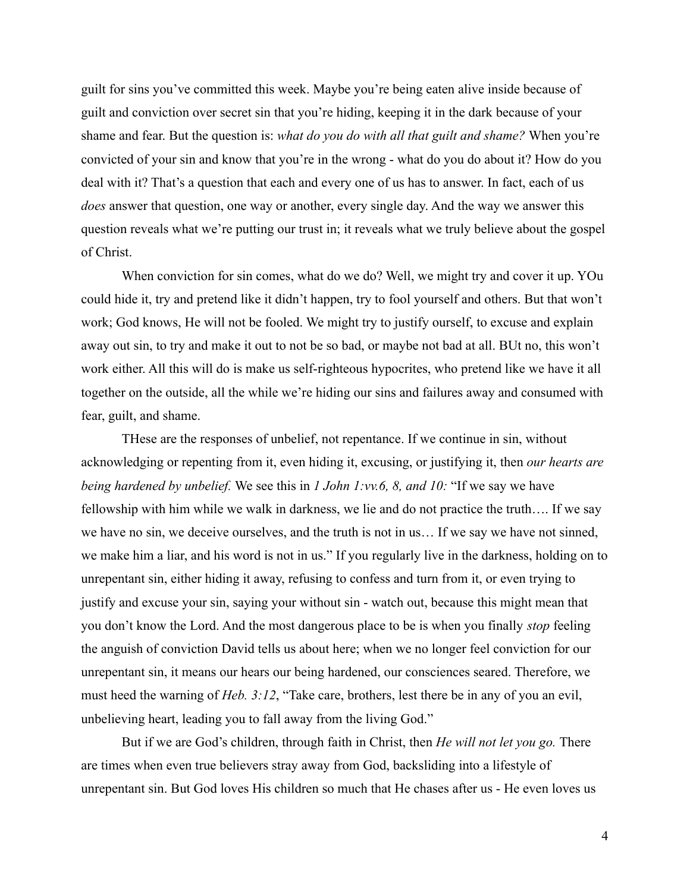guilt for sins you've committed this week. Maybe you're being eaten alive inside because of guilt and conviction over secret sin that you're hiding, keeping it in the dark because of your shame and fear. But the question is: *what do you do with all that guilt and shame?* When you're convicted of your sin and know that you're in the wrong - what do you do about it? How do you deal with it? That's a question that each and every one of us has to answer. In fact, each of us *does* answer that question, one way or another, every single day. And the way we answer this question reveals what we're putting our trust in; it reveals what we truly believe about the gospel of Christ.

When conviction for sin comes, what do we do? Well, we might try and cover it up. YOu could hide it, try and pretend like it didn't happen, try to fool yourself and others. But that won't work; God knows, He will not be fooled. We might try to justify ourself, to excuse and explain away out sin, to try and make it out to not be so bad, or maybe not bad at all. BUt no, this won't work either. All this will do is make us self-righteous hypocrites, who pretend like we have it all together on the outside, all the while we're hiding our sins and failures away and consumed with fear, guilt, and shame.

THese are the responses of unbelief, not repentance. If we continue in sin, without acknowledging or repenting from it, even hiding it, excusing, or justifying it, then *our hearts are being hardened by unbelief.* We see this in *1 John 1:vv.6, 8, and 10:* "If we say we have fellowship with him while we walk in darkness, we lie and do not practice the truth…. If we say we have no sin, we deceive ourselves, and the truth is not in us… If we say we have not sinned, we make him a liar, and his word is not in us." If you regularly live in the darkness, holding on to unrepentant sin, either hiding it away, refusing to confess and turn from it, or even trying to justify and excuse your sin, saying your without sin - watch out, because this might mean that you don't know the Lord. And the most dangerous place to be is when you finally *stop* feeling the anguish of conviction David tells us about here; when we no longer feel conviction for our unrepentant sin, it means our hears our being hardened, our consciences seared. Therefore, we must heed the warning of *Heb. 3:12*, "Take care, brothers, lest there be in any of you an evil, unbelieving heart, leading you to fall away from the living God."

But if we are God's children, through faith in Christ, then *He will not let you go.* There are times when even true believers stray away from God, backsliding into a lifestyle of unrepentant sin. But God loves His children so much that He chases after us - He even loves us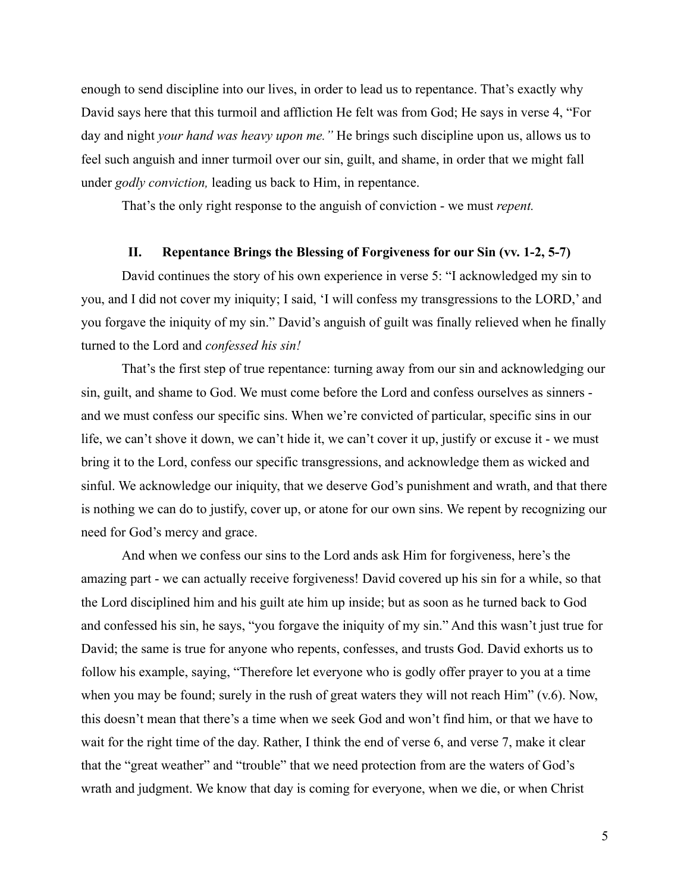enough to send discipline into our lives, in order to lead us to repentance. That's exactly why David says here that this turmoil and affliction He felt was from God; He says in verse 4, "For day and night *your hand was heavy upon me."* He brings such discipline upon us, allows us to feel such anguish and inner turmoil over our sin, guilt, and shame, in order that we might fall under *godly conviction,* leading us back to Him, in repentance.

That's the only right response to the anguish of conviction - we must *repent.*

### **II. Repentance Brings the Blessing of Forgiveness for our Sin (vv. 1-2, 5-7)**

David continues the story of his own experience in verse 5: "I acknowledged my sin to you, and I did not cover my iniquity; I said, 'I will confess my transgressions to the LORD,' and you forgave the iniquity of my sin." David's anguish of guilt was finally relieved when he finally turned to the Lord and *confessed his sin!*

That's the first step of true repentance: turning away from our sin and acknowledging our sin, guilt, and shame to God. We must come before the Lord and confess ourselves as sinners and we must confess our specific sins. When we're convicted of particular, specific sins in our life, we can't shove it down, we can't hide it, we can't cover it up, justify or excuse it - we must bring it to the Lord, confess our specific transgressions, and acknowledge them as wicked and sinful. We acknowledge our iniquity, that we deserve God's punishment and wrath, and that there is nothing we can do to justify, cover up, or atone for our own sins. We repent by recognizing our need for God's mercy and grace.

And when we confess our sins to the Lord ands ask Him for forgiveness, here's the amazing part - we can actually receive forgiveness! David covered up his sin for a while, so that the Lord disciplined him and his guilt ate him up inside; but as soon as he turned back to God and confessed his sin, he says, "you forgave the iniquity of my sin." And this wasn't just true for David; the same is true for anyone who repents, confesses, and trusts God. David exhorts us to follow his example, saying, "Therefore let everyone who is godly offer prayer to you at a time when you may be found; surely in the rush of great waters they will not reach Him" (v.6). Now, this doesn't mean that there's a time when we seek God and won't find him, or that we have to wait for the right time of the day. Rather, I think the end of verse 6, and verse 7, make it clear that the "great weather" and "trouble" that we need protection from are the waters of God's wrath and judgment. We know that day is coming for everyone, when we die, or when Christ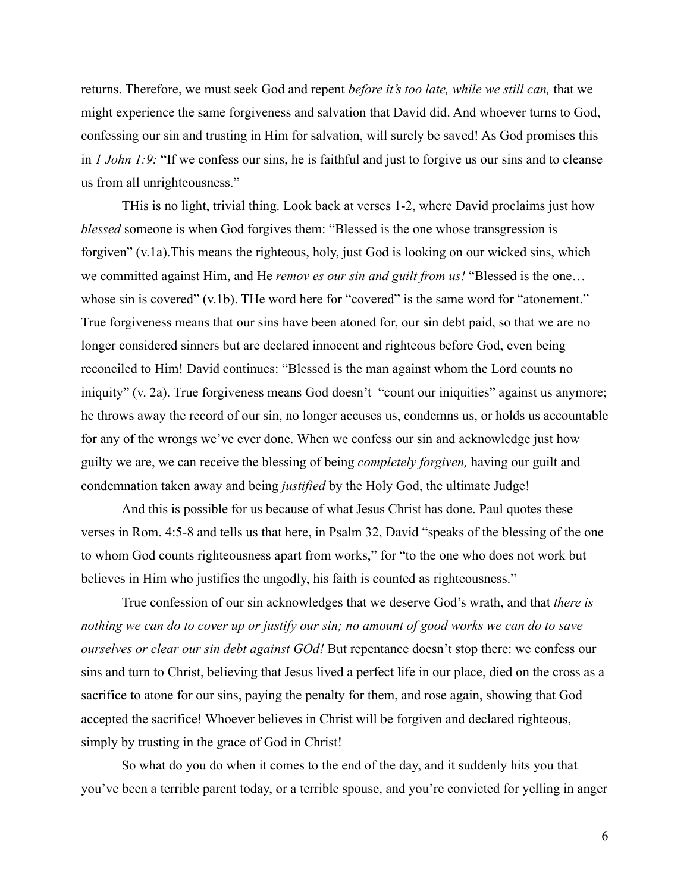returns. Therefore, we must seek God and repent *before it's too late, while we still can,* that we might experience the same forgiveness and salvation that David did. And whoever turns to God, confessing our sin and trusting in Him for salvation, will surely be saved! As God promises this in *1 John 1:9:* "If we confess our sins, he is faithful and just to forgive us our sins and to cleanse us from all unrighteousness."

THis is no light, trivial thing. Look back at verses 1-2, where David proclaims just how *blessed* someone is when God forgives them: "Blessed is the one whose transgression is forgiven" (v.1a).This means the righteous, holy, just God is looking on our wicked sins, which we committed against Him, and He *remov es our sin and guilt from us!* "Blessed is the one… whose sin is covered" (v.1b). The word here for "covered" is the same word for "atonement." True forgiveness means that our sins have been atoned for, our sin debt paid, so that we are no longer considered sinners but are declared innocent and righteous before God, even being reconciled to Him! David continues: "Blessed is the man against whom the Lord counts no iniquity" (v. 2a). True forgiveness means God doesn't "count our iniquities" against us anymore; he throws away the record of our sin, no longer accuses us, condemns us, or holds us accountable for any of the wrongs we've ever done. When we confess our sin and acknowledge just how guilty we are, we can receive the blessing of being *completely forgiven,* having our guilt and condemnation taken away and being *justified* by the Holy God, the ultimate Judge!

And this is possible for us because of what Jesus Christ has done. Paul quotes these verses in Rom. 4:5-8 and tells us that here, in Psalm 32, David "speaks of the blessing of the one to whom God counts righteousness apart from works," for "to the one who does not work but believes in Him who justifies the ungodly, his faith is counted as righteousness."

True confession of our sin acknowledges that we deserve God's wrath, and that *there is nothing we can do to cover up or justify our sin; no amount of good works we can do to save ourselves or clear our sin debt against GOd!* But repentance doesn't stop there: we confess our sins and turn to Christ, believing that Jesus lived a perfect life in our place, died on the cross as a sacrifice to atone for our sins, paying the penalty for them, and rose again, showing that God accepted the sacrifice! Whoever believes in Christ will be forgiven and declared righteous, simply by trusting in the grace of God in Christ!

So what do you do when it comes to the end of the day, and it suddenly hits you that you've been a terrible parent today, or a terrible spouse, and you're convicted for yelling in anger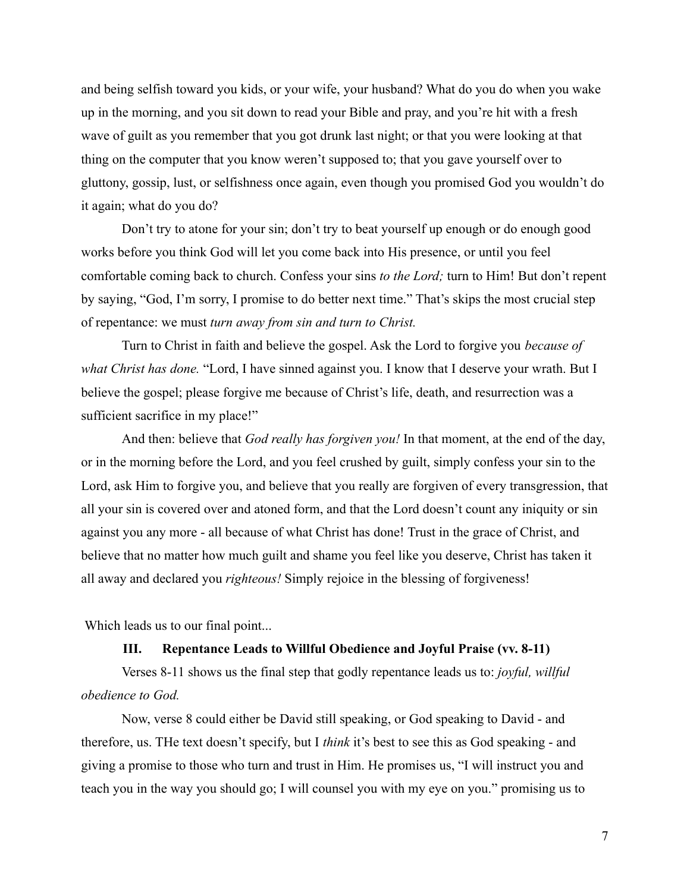and being selfish toward you kids, or your wife, your husband? What do you do when you wake up in the morning, and you sit down to read your Bible and pray, and you're hit with a fresh wave of guilt as you remember that you got drunk last night; or that you were looking at that thing on the computer that you know weren't supposed to; that you gave yourself over to gluttony, gossip, lust, or selfishness once again, even though you promised God you wouldn't do it again; what do you do?

Don't try to atone for your sin; don't try to beat yourself up enough or do enough good works before you think God will let you come back into His presence, or until you feel comfortable coming back to church. Confess your sins *to the Lord;* turn to Him! But don't repent by saying, "God, I'm sorry, I promise to do better next time." That's skips the most crucial step of repentance: we must *turn away from sin and turn to Christ.*

Turn to Christ in faith and believe the gospel. Ask the Lord to forgive you *because of what Christ has done.* "Lord, I have sinned against you. I know that I deserve your wrath. But I believe the gospel; please forgive me because of Christ's life, death, and resurrection was a sufficient sacrifice in my place!"

And then: believe that *God really has forgiven you!* In that moment, at the end of the day, or in the morning before the Lord, and you feel crushed by guilt, simply confess your sin to the Lord, ask Him to forgive you, and believe that you really are forgiven of every transgression, that all your sin is covered over and atoned form, and that the Lord doesn't count any iniquity or sin against you any more - all because of what Christ has done! Trust in the grace of Christ, and believe that no matter how much guilt and shame you feel like you deserve, Christ has taken it all away and declared you *righteous!* Simply rejoice in the blessing of forgiveness!

Which leads us to our final point...

### **III. Repentance Leads to Willful Obedience and Joyful Praise (vv. 8-11)**

Verses 8-11 shows us the final step that godly repentance leads us to: *joyful, willful obedience to God.*

Now, verse 8 could either be David still speaking, or God speaking to David - and therefore, us. THe text doesn't specify, but I *think* it's best to see this as God speaking - and giving a promise to those who turn and trust in Him. He promises us, "I will instruct you and teach you in the way you should go; I will counsel you with my eye on you." promising us to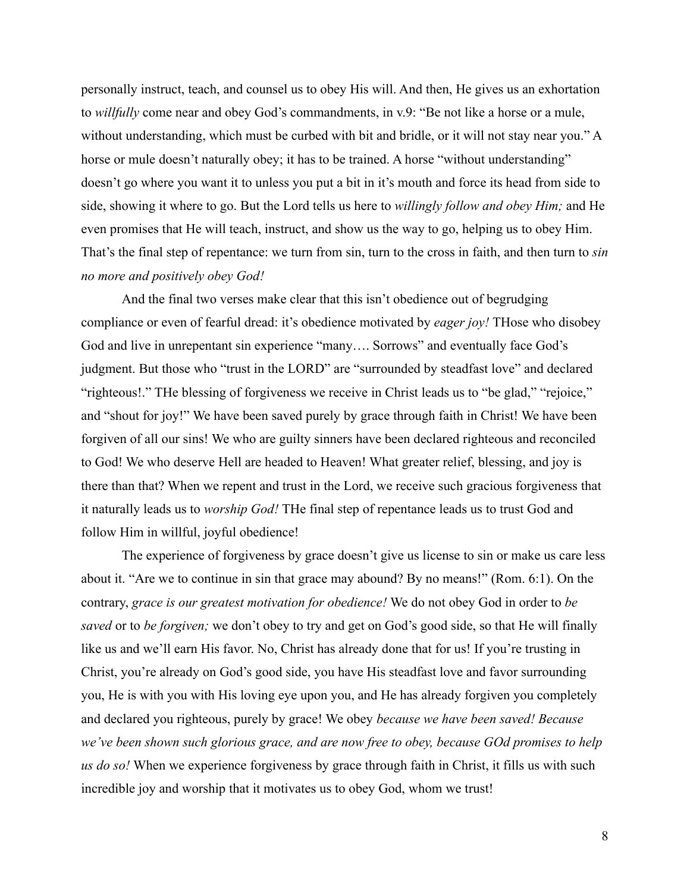personally instruct, teach, and counsel us to obey His will. And then, He gives us an exhortation to *willfully* come near and obey God's commandments, in v.9: "Be not like a horse or a mule, without understanding, which must be curbed with bit and bridle, or it will not stay near you." A horse or mule doesn't naturally obey; it has to be trained. A horse "without understanding" doesn't go where you want it to unless you put a bit in it's mouth and force its head from side to side, showing it where to go. But the Lord tells us here to *willingly follow and obey Him;* and He even promises that He will teach, instruct, and show us the way to go, helping us to obey Him. That's the final step of repentance: we turn from sin, turn to the cross in faith, and then turn to *sin no more and positively obey God!*

And the final two verses make clear that this isn't obedience out of begrudging compliance or even of fearful dread: it's obedience motivated by *eager joy!* THose who disobey God and live in unrepentant sin experience "many…. Sorrows" and eventually face God's judgment. But those who "trust in the LORD" are "surrounded by steadfast love" and declared "righteous!." THe blessing of forgiveness we receive in Christ leads us to "be glad," "rejoice," and "shout for joy!" We have been saved purely by grace through faith in Christ! We have been forgiven of all our sins! We who are guilty sinners have been declared righteous and reconciled to God! We who deserve Hell are headed to Heaven! What greater relief, blessing, and joy is there than that? When we repent and trust in the Lord, we receive such gracious forgiveness that it naturally leads us to *worship God!* THe final step of repentance leads us to trust God and follow Him in willful, joyful obedience!

The experience of forgiveness by grace doesn't give us license to sin or make us care less about it. "Are we to continue in sin that grace may abound? By no means!" (Rom. 6:1). On the contrary, *grace is our greatest motivation for obedience!* We do not obey God in order to *be saved* or to *be forgiven;* we don't obey to try and get on God's good side, so that He will finally like us and we'll earn His favor. No, Christ has already done that for us! If you're trusting in Christ, you're already on God's good side, you have His steadfast love and favor surrounding you, He is with you with His loving eye upon you, and He has already forgiven you completely and declared you righteous, purely by grace! We obey *because we have been saved! Because we've been shown such glorious grace, and are now free to obey, because GOd promises to help us do so!* When we experience forgiveness by grace through faith in Christ, it fills us with such incredible joy and worship that it motivates us to obey God, whom we trust!